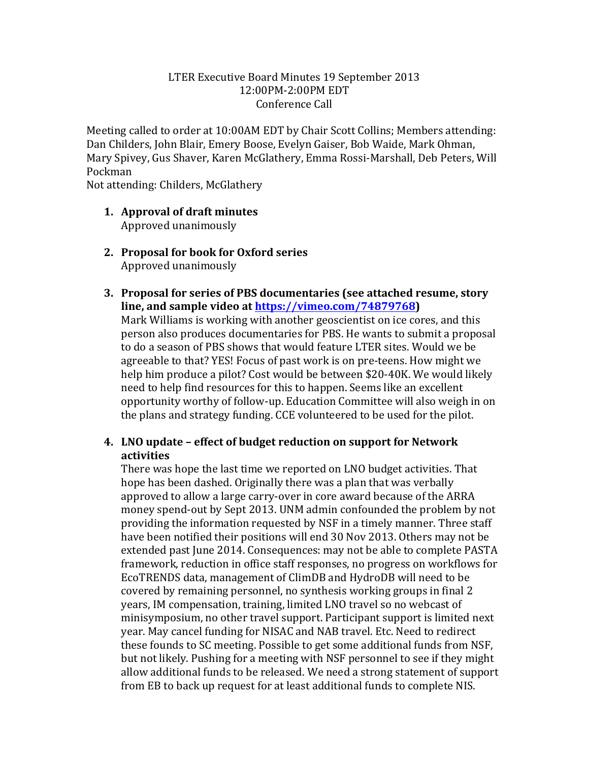## LTER Executive Board Minutes 19 September 2013 12:00PM-2:00PM EDT Conference Call

Meeting called to order at 10:00AM EDT by Chair Scott Collins; Members attending: Dan Childers, John Blair, Emery Boose, Evelyn Gaiser, Bob Waide, Mark Ohman, Mary Spivey, Gus Shaver, Karen McGlathery, Emma Rossi-Marshall, Deb Peters, Will Pockman

Not attending: Childers, McGlathery

- **1. Approval of draft minutes** Approved unanimously
- **2.** Proposal for book for Oxford series Approved unanimously
- **3. Proposal for series of PBS documentaries (see attached resume, story** line, and sample video at **https://vimeo.com/74879768**)

Mark Williams is working with another geoscientist on ice cores, and this person also produces documentaries for PBS. He wants to submit a proposal to do a season of PBS shows that would feature LTER sites. Would we be agreeable to that? YES! Focus of past work is on pre-teens. How might we help him produce a pilot? Cost would be between \$20-40K. We would likely need to help find resources for this to happen. Seems like an excellent opportunity worthy of follow-up. Education Committee will also weigh in on the plans and strategy funding. CCE volunteered to be used for the pilot.

# **4. LNO update – effect of budget reduction on support for Network activities**

There was hope the last time we reported on LNO budget activities. That hope has been dashed. Originally there was a plan that was verbally approved to allow a large carry-over in core award because of the ARRA money spend-out by Sept 2013. UNM admin confounded the problem by not providing the information requested by NSF in a timely manner. Three staff have been notified their positions will end 30 Nov 2013. Others may not be extended past June 2014. Consequences: may not be able to complete PASTA framework, reduction in office staff responses, no progress on workflows for EcoTRENDS data, management of ClimDB and HydroDB will need to be covered by remaining personnel, no synthesis working groups in final 2 years, IM compensation, training, limited LNO travel so no webcast of minisymposium, no other travel support. Participant support is limited next year. May cancel funding for NISAC and NAB travel. Etc. Need to redirect these founds to SC meeting. Possible to get some additional funds from NSF, but not likely. Pushing for a meeting with NSF personnel to see if they might allow additional funds to be released. We need a strong statement of support from EB to back up request for at least additional funds to complete NIS.